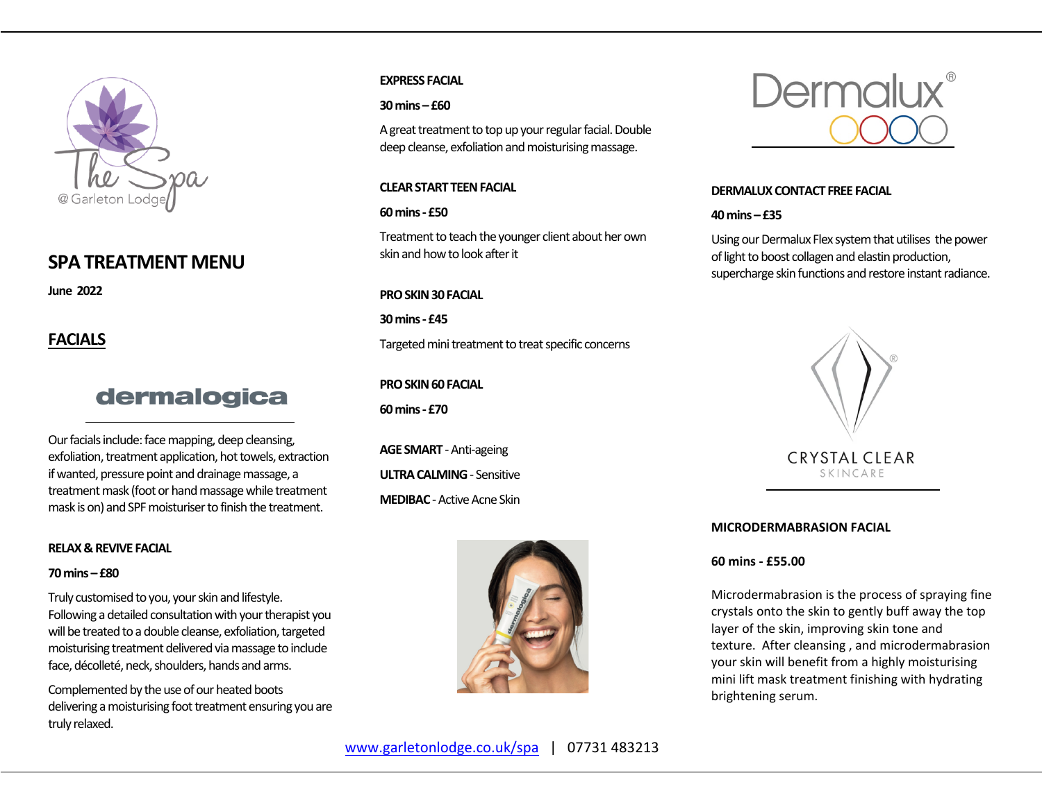

## **SPA TREATMENT MENU**

**June 2022**

## **FACIALS**

# dermalogica

Our facials include: face mapping, deep cleansing, exfoliation, treatment application, hot towels, extraction if wanted, pressure point and drainage massage, a treatment mask (foot or hand massage while treatment mask is on) and SPF moisturiser to finish the treatment.

## **RELAX & REVIVE FACIAL**

#### **70mins – £80**

Truly customised to you, your skin and lifestyle. Following a detailed consultation with your therapist you will be treated to a double cleanse, exfoliation, targeted moisturising treatment delivered viamassage to include face, décolleté, neck, shoulders, hands and arms.

Complemented by the use of our heated boots delivering a moisturising foot treatment ensuring you are truly relaxed.

## **EXPRESS FACIAL**

### **30 mins – £60**

A great treatment to top up your regular facial. Double deep cleanse, exfoliation and moisturising massage.

## **CLEAR START TEEN FACIAL**

## **60 mins - £50**

Treatment to teach the younger client about her own skin and how to look after it

## **PRO SKIN 30 FACIAL**

**30 mins - £45**

Targeted mini treatment to treat specific concerns

## **PRO SKIN 60 FACIAL**

**60 mins - £70**

**AGE SMART** - Anti-ageing **ULTRA CALMING**- Sensitive **MEDIBAC**-Active Acne Skin





## **DERMALUX CONTACT FREE FACIAL**

## **40 mins – £35**

Using our Dermalux Flex system that utilises the power of light to boost collagen and elastin production, supercharge skin functions and restore instant radiance.



## **MICRODERMABRASION FACIAL**

## **60 mins - £55.00**

Microdermabrasion is the process of spraying fine crystals onto the skin to gently buff away the top layer of the skin, improving skin tone and texture. After cleansing , and microdermabrasion your skin will benefit from a highly moisturising mini lift mask treatment finishing with hydrating brightening serum.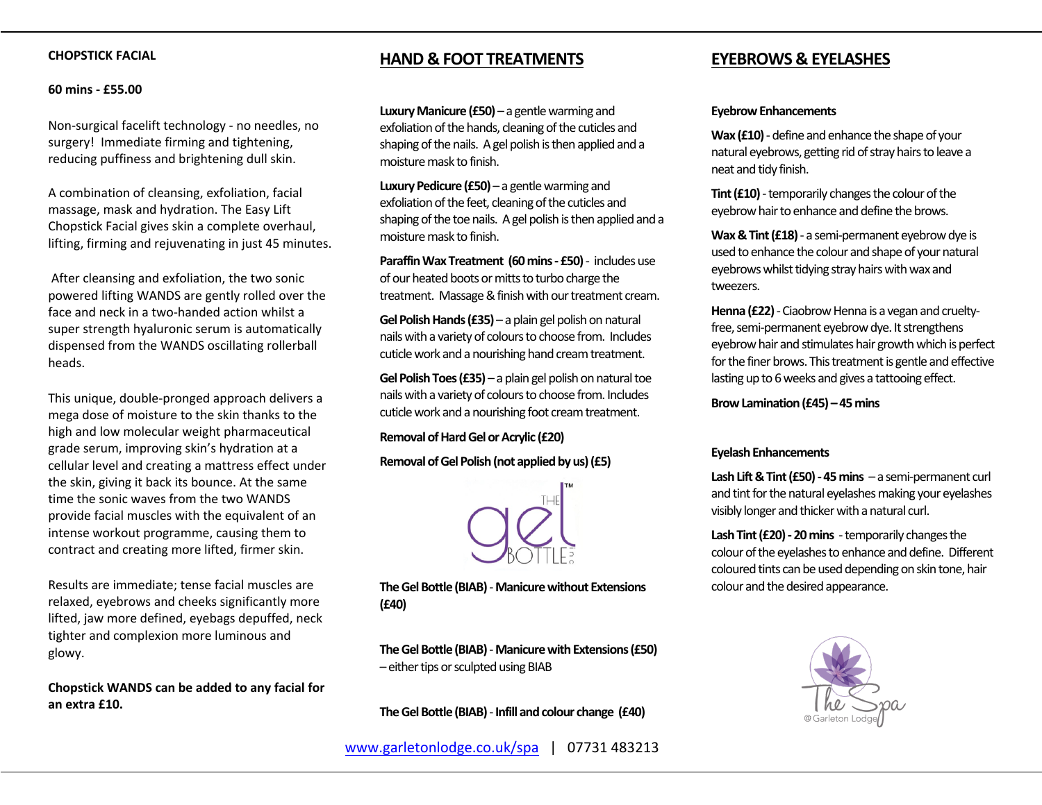### **CHOPSTICK FACIAL**

#### **60 mins - £55.00**

Non-surgical facelift technology - no needles, no surgery! Immediate firming and tightening, reducing puffiness and brightening dull skin.

A combination of cleansing, exfoliation, facial massage, mask and hydration. The Easy Lift Chopstick Facial gives skin a complete overhaul, lifting, firming and rejuvenating in just 45 minutes.

After cleansing and exfoliation, the two sonic powered lifting WANDS are gently rolled over the face and neck in a two-handed action whilst a super strength hyaluronic serum is automatically dispensed from the WANDS oscillating rollerball heads.

This unique, double-pronged approach delivers a mega dose of moisture to the skin thanks to the high and low molecular weight pharmaceutical grade serum, improving skin's hydration at a cellular level and creating a mattress effect under the skin, giving it back its bounce. At the same time the sonic waves from the two WANDS provide facial muscles with the equivalent of an intense workout programme, causing them to contract and creating more lifted, firmer skin.

Results are immediate; tense facial muscles are relaxed, eyebrows and cheeks significantly more lifted, jaw more defined, eyebags depuffed, neck tighter and complexion more luminous and glowy.

**Chopstick WANDS can be added to any facial for an extra £10.**

## **HAND & FOOT TREATMENTS**

**Luxury Manicure (£50)** – a gentle warming and exfoliation of the hands, cleaning of the cuticles and shaping of the nails. A gel polish is then applied and a moisture mask to finish.

**Luxury Pedicure (£50)** – a gentle warming and exfoliation of the feet, cleaning of the cuticles and shaping of the toe nails. A gel polish is then applied and a moisture mask to finish.

**Paraffin Wax Treatment (60 mins - £50)**- includes use of our heated boots or mitts to turbo charge the treatment. Massage & finish with our treatment cream.

**Gel Polish Hands (£35)** – a plain gel polish on natural nails with a variety of colours to choose from. Includes cuticle work and a nourishing hand cream treatment.

**Gel Polish Toes (£35)** – a plain gel polish on natural toe nails with a variety of colours to choose from. Includes cuticle work and a nourishing foot cream treatment.

**Removal of Hard Gel or Acrylic (£20)**

#### **Removal of Gel Polish (not applied by us) (£5)**



**The Gel Bottle (BIAB)**-**Manicure without Extensions (£40)**

**The Gel Bottle (BIAB)**-**Manicure with Extensions (£50)** – either tips or sculpted using BIAB

**The Gel Bottle (BIAB)**-**Infill and colour change (£40)**

#### **Eyebrow Enhancements**

**Wax (£10)** - define and enhance the shape of your natural eyebrows, getting rid of stray hairs to leave a neat and tidy finish.

**Tint (£10)** - temporarily changes the colour of the eyebrow hair to enhance and define the brows.

**Wax & Tint (£18)**- a semi-permanent eyebrow dye is used to enhance the colour and shape of your natural eyebrows whilst tidying stray hairs with wax and tweezers.

**Henna (£22)**-Ciaobrow Henna is a vegan and crueltyfree, semi-permanent eyebrow dye. It strengthens eyebrow hair and stimulates hair growth which is perfect for the finer brows. This treatment is gentle and effective lasting up to 6 weeks and gives a tattooing effect.

**Brow Lamination (£45) – 45 mins**

#### **Eyelash Enhancements**

**Lash Lift & Tint (£50) - 45 mins** – a semi-permanent curl and tint for the natural eyelashes making your eyelashes visibly longer and thicker with a natural curl.

**Lash Tint (£20) - 20 mins** - temporarily changes the colour of the eyelashes to enhance and define. Different coloured tints can be used depending on skin tone, hair colour and the desired appearance.

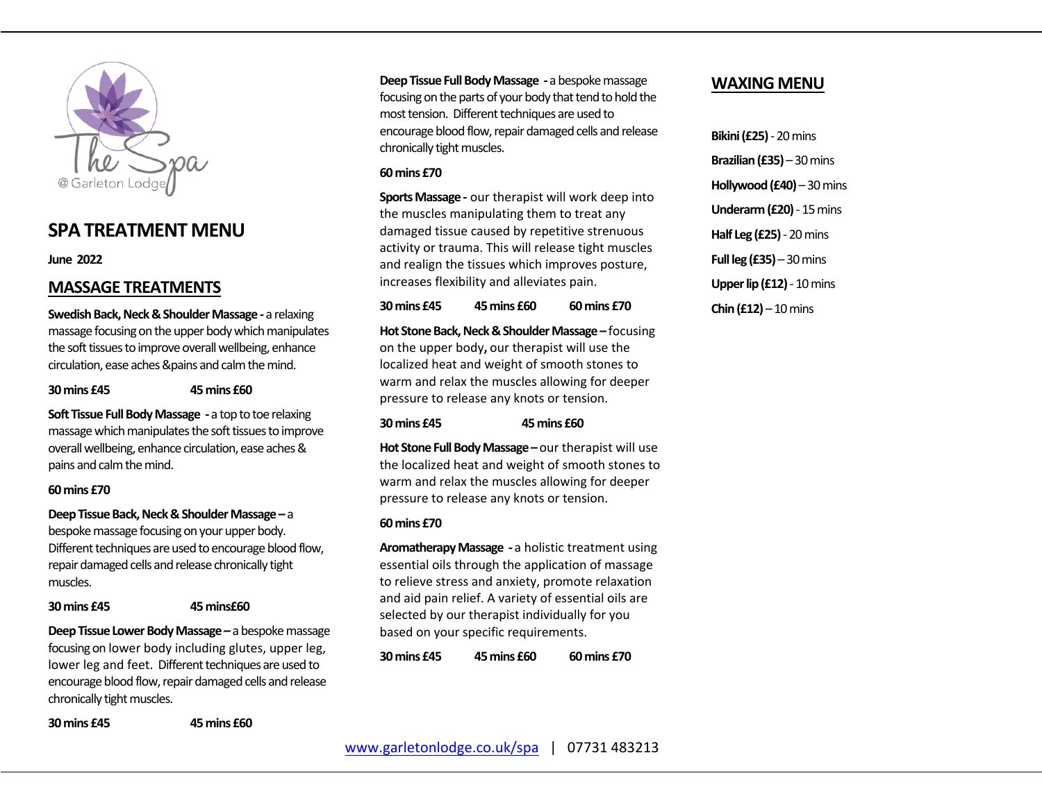

## **SPA TREATMENT MENU**

**June 2022**

## **MASSAGE TREATMENTS**

**Swedish Back, Neck & Shoulder Massage -** a relaxing massage focusing on the upper body which manipulates the soft tissues to improve overall wellbeing, enhance circulation, ease aches &pains and calm the mind.

#### **30 mins £45 45 mins £60**

**Soft Tissue Full Body Massage -** a top to toe relaxing massage which manipulates the soft tissues to improve overall wellbeing, enhance circulation, ease aches & pains and calm the mind.

## **60 mins £70**

**Deep Tissue Back, Neck & Shoulder Massage –** a bespoke massage focusing on your upper body. Different techniques are used to encourage blood flow, repair damaged cells and release chronically tight muscles.

#### **30 mins £45 45 mins£60**

**Deep Tissue Lower Body Massage –** a bespoke massage focusing on lower body including glutes, upper leg, lower leg and feet. Different techniques are used to encourage blood flow, repair damaged cells and release chronically tight muscles.

**30 mins £45 45 mins £60**

**Deep Tissue Full Body Massage -** a bespoke massage focusing on the parts of your body that tend to hold the most tension. Different techniques are used to encourage blood flow, repair damaged cells and release chronically tight muscles.

### **60 mins £70**

**Sports Massage-** our therapist will work deep into the muscles manipulating them to treat any damaged tissue caused by repetitive strenuous activity or trauma. This will release tight muscles and realign the tissues which improves posture, increases flexibility and alleviates pain.

**30 mins £45 45 mins £60 60 mins £70**

**Hot Stone Back, Neck & Shoulder Massage –** focusing on the upper body**,** our therapist will use the localized heat and weight of smooth stones to warm and relax the muscles allowing for deeper pressure to release any knots or tension.

## **30 mins £45 45 mins £60**

**Hot Stone Full Body Massage –**our therapist will use the localized heat and weight of smooth stones to warm and relax the muscles allowing for deeper pressure to release any knots or tension.

## **60 mins £70**

**Aromatherapy Massage -** a holistic treatment using essential oils through the application of massage to relieve stress and anxiety, promote relaxation and aid pain relief. A variety of essential oils are selected by our therapist individually for you based on your specific requirements.

**30 mins £45 45 mins £60 60 mins £70**

## **WAXING MENU**

**Bikini (£25)** - 20 mins **Brazilian (£35)** – 30 mins **Hollywood (£40)** – 30 mins **Underarm (£20)** - 15 mins **Half Leg (£25)**- 20 mins **Full leg (£35)** – 30 mins **Upper lip (£12)**- 10 mins **Chin (£12)** – 10 mins